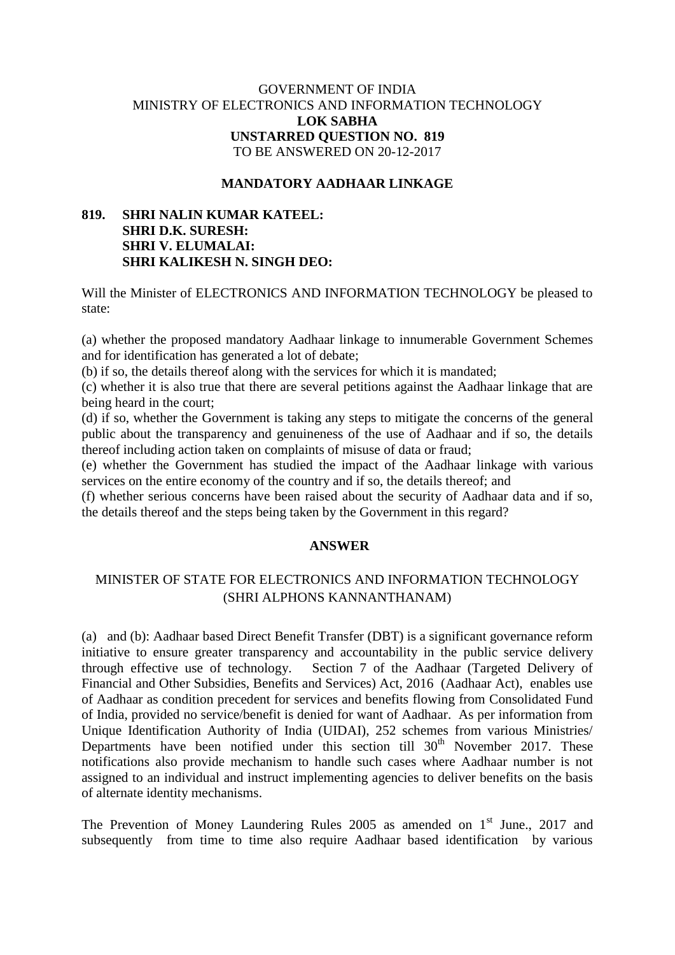## GOVERNMENT OF INDIA MINISTRY OF ELECTRONICS AND INFORMATION TECHNOLOGY **LOK SABHA UNSTARRED QUESTION NO. 819** TO BE ANSWERED ON 20-12-2017

#### **MANDATORY AADHAAR LINKAGE**

## **819. SHRI NALIN KUMAR KATEEL: SHRI D.K. SURESH: SHRI V. ELUMALAI: SHRI KALIKESH N. SINGH DEO:**

Will the Minister of ELECTRONICS AND INFORMATION TECHNOLOGY be pleased to state:

(a) whether the proposed mandatory Aadhaar linkage to innumerable Government Schemes and for identification has generated a lot of debate;

(b) if so, the details thereof along with the services for which it is mandated;

(c) whether it is also true that there are several petitions against the Aadhaar linkage that are being heard in the court;

(d) if so, whether the Government is taking any steps to mitigate the concerns of the general public about the transparency and genuineness of the use of Aadhaar and if so, the details thereof including action taken on complaints of misuse of data or fraud;

(e) whether the Government has studied the impact of the Aadhaar linkage with various services on the entire economy of the country and if so, the details thereof; and

(f) whether serious concerns have been raised about the security of Aadhaar data and if so, the details thereof and the steps being taken by the Government in this regard?

#### **ANSWER**

# MINISTER OF STATE FOR ELECTRONICS AND INFORMATION TECHNOLOGY (SHRI ALPHONS KANNANTHANAM)

(a) and (b): Aadhaar based Direct Benefit Transfer (DBT) is a significant governance reform initiative to ensure greater transparency and accountability in the public service delivery through effective use of technology. Section 7 of the Aadhaar (Targeted Delivery of Financial and Other Subsidies, Benefits and Services) Act, 2016 (Aadhaar Act), enables use of Aadhaar as condition precedent for services and benefits flowing from Consolidated Fund of India, provided no service/benefit is denied for want of Aadhaar. As per information from Unique Identification Authority of India (UIDAI), 252 schemes from various Ministries/ Departments have been notified under this section till  $30<sup>th</sup>$  November 2017. These notifications also provide mechanism to handle such cases where Aadhaar number is not assigned to an individual and instruct implementing agencies to deliver benefits on the basis of alternate identity mechanisms.

The Prevention of Money Laundering Rules  $2005$  as amended on  $1<sup>st</sup>$  June., 2017 and subsequently from time to time also require Aadhaar based identification by various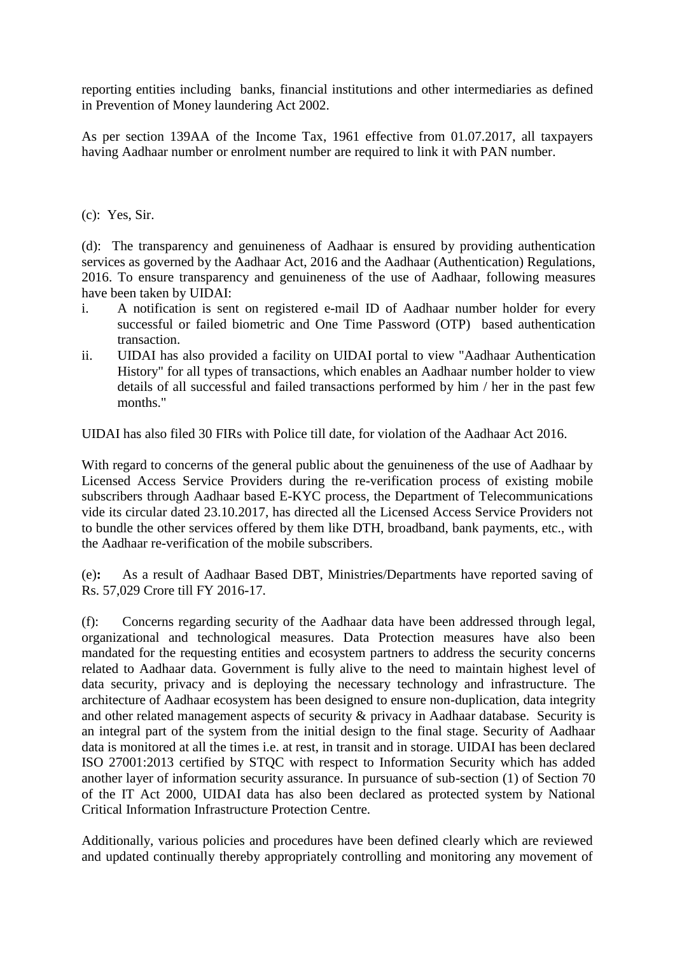reporting entities including banks, financial institutions and other intermediaries as defined in Prevention of Money laundering Act 2002.

As per section 139AA of the Income Tax, 1961 effective from 01.07.2017, all taxpayers having Aadhaar number or enrolment number are required to link it with PAN number.

(c):Yes, Sir.

(d): The transparency and genuineness of Aadhaar is ensured by providing authentication services as governed by the Aadhaar Act, 2016 and the Aadhaar (Authentication) Regulations, 2016. To ensure transparency and genuineness of the use of Aadhaar, following measures have been taken by UIDAI:

- i. A notification is sent on registered e-mail ID of Aadhaar number holder for every successful or failed biometric and One Time Password (OTP) based authentication transaction.
- ii. UIDAI has also provided a facility on UIDAI portal to view "Aadhaar Authentication History" for all types of transactions, which enables an Aadhaar number holder to view details of all successful and failed transactions performed by him / her in the past few months."

UIDAI has also filed 30 FIRs with Police till date, for violation of the Aadhaar Act 2016.

With regard to concerns of the general public about the genuineness of the use of Aadhaar by Licensed Access Service Providers during the re-verification process of existing mobile subscribers through Aadhaar based E-KYC process, the Department of Telecommunications vide its circular dated 23.10.2017, has directed all the Licensed Access Service Providers not to bundle the other services offered by them like DTH, broadband, bank payments, etc., with the Aadhaar re-verification of the mobile subscribers.

(e)**:** As a result of Aadhaar Based DBT, Ministries/Departments have reported saving of Rs. 57,029 Crore till FY 2016-17.

(f): Concerns regarding security of the Aadhaar data have been addressed through legal, organizational and technological measures. Data Protection measures have also been mandated for the requesting entities and ecosystem partners to address the security concerns related to Aadhaar data. Government is fully alive to the need to maintain highest level of data security, privacy and is deploying the necessary technology and infrastructure. The architecture of Aadhaar ecosystem has been designed to ensure non-duplication, data integrity and other related management aspects of security & privacy in Aadhaar database. Security is an integral part of the system from the initial design to the final stage. Security of Aadhaar data is monitored at all the times i.e. at rest, in transit and in storage. UIDAI has been declared ISO 27001:2013 certified by STQC with respect to Information Security which has added another layer of information security assurance. In pursuance of sub-section (1) of Section 70 of the IT Act 2000, UIDAI data has also been declared as protected system by National Critical Information Infrastructure Protection Centre.

Additionally, various policies and procedures have been defined clearly which are reviewed and updated continually thereby appropriately controlling and monitoring any movement of